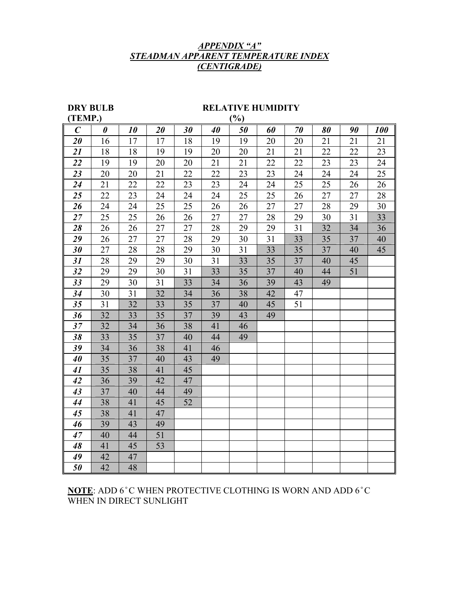## *APPENDIX "A" STEADMAN APPARENT TEMPERATURE INDEX (CENTIGRADE)*

## **DRY BULB RELATIVE HUMIDITY**

| (TEMP.)<br>$(\%)$ |                       |    |    |    |    |    |    |    |    |    |     |
|-------------------|-----------------------|----|----|----|----|----|----|----|----|----|-----|
| $\boldsymbol{C}$  | $\boldsymbol{\theta}$ | 10 | 20 | 30 | 40 | 50 | 60 | 70 | 80 | 90 | 100 |
| 20                | 16                    | 17 | 17 | 18 | 19 | 19 | 20 | 20 | 21 | 21 | 21  |
| 21                | 18                    | 18 | 19 | 19 | 20 | 20 | 21 | 21 | 22 | 22 | 23  |
| 22                | 19                    | 19 | 20 | 20 | 21 | 21 | 22 | 22 | 23 | 23 | 24  |
| 23                | 20                    | 20 | 21 | 22 | 22 | 23 | 23 | 24 | 24 | 24 | 25  |
| 24                | 21                    | 22 | 22 | 23 | 23 | 24 | 24 | 25 | 25 | 26 | 26  |
| 25                | 22                    | 23 | 24 | 24 | 24 | 25 | 25 | 26 | 27 | 27 | 28  |
| 26                | 24                    | 24 | 25 | 25 | 26 | 26 | 27 | 27 | 28 | 29 | 30  |
| 27                | 25                    | 25 | 26 | 26 | 27 | 27 | 28 | 29 | 30 | 31 | 33  |
| 28                | 26                    | 26 | 27 | 27 | 28 | 29 | 29 | 31 | 32 | 34 | 36  |
| 29                | 26                    | 27 | 27 | 28 | 29 | 30 | 31 | 33 | 35 | 37 | 40  |
| 30                | 27                    | 28 | 28 | 29 | 30 | 31 | 33 | 35 | 37 | 40 | 45  |
| 31                | 28                    | 29 | 29 | 30 | 31 | 33 | 35 | 37 | 40 | 45 |     |
| 32                | 29                    | 29 | 30 | 31 | 33 | 35 | 37 | 40 | 44 | 51 |     |
| 33                | 29                    | 30 | 31 | 33 | 34 | 36 | 39 | 43 | 49 |    |     |
| 34                | 30                    | 31 | 32 | 34 | 36 | 38 | 42 | 47 |    |    |     |
| 35                | 31                    | 32 | 33 | 35 | 37 | 40 | 45 | 51 |    |    |     |
| 36                | 32                    | 33 | 35 | 37 | 39 | 43 | 49 |    |    |    |     |
| 37                | 32                    | 34 | 36 | 38 | 41 | 46 |    |    |    |    |     |
| 38                | 33                    | 35 | 37 | 40 | 44 | 49 |    |    |    |    |     |
| 39                | 34                    | 36 | 38 | 41 | 46 |    |    |    |    |    |     |
| 40                | 35                    | 37 | 40 | 43 | 49 |    |    |    |    |    |     |
| 41                | 35                    | 38 | 41 | 45 |    |    |    |    |    |    |     |
| 42                | 36                    | 39 | 42 | 47 |    |    |    |    |    |    |     |
| 43                | 37                    | 40 | 44 | 49 |    |    |    |    |    |    |     |
| 44                | 38                    | 41 | 45 | 52 |    |    |    |    |    |    |     |
| 45                | 38                    | 41 | 47 |    |    |    |    |    |    |    |     |
| 46                | 39                    | 43 | 49 |    |    |    |    |    |    |    |     |
| 47                | 40                    | 44 | 51 |    |    |    |    |    |    |    |     |
| 48                | 41                    | 45 | 53 |    |    |    |    |    |    |    |     |
| 49                | 42                    | 47 |    |    |    |    |    |    |    |    |     |
| 50                | 42                    | 48 |    |    |    |    |    |    |    |    |     |

## **NOTE**: ADD 6°C WHEN PROTECTIVE CLOTHING IS WORN AND ADD 6°C WHEN IN DIRECT SUNLIGHT